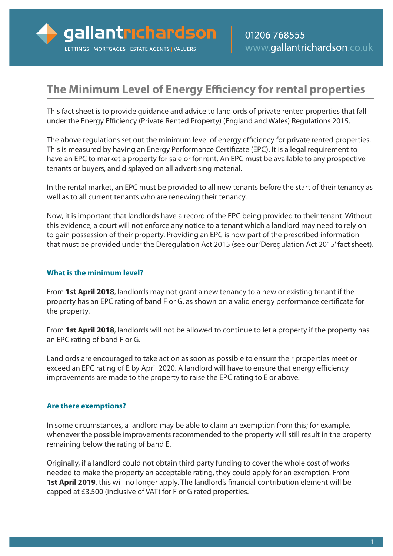# **The Minimum Level of Energy Efficiency for rental properties**

This fact sheet is to provide guidance and advice to landlords of private rented properties that fall under the Energy Efficiency (Private Rented Property) (England and Wales) Regulations 2015.

The above regulations set out the minimum level of energy efficiency for private rented properties. This is measured by having an Energy Performance Certificate (EPC). It is a legal requirement to have an EPC to market a property for sale or for rent. An EPC must be available to any prospective tenants or buyers, and displayed on all advertising material.

In the rental market, an EPC must be provided to all new tenants before the start of their tenancy as well as to all current tenants who are renewing their tenancy.

Now, it is important that landlords have a record of the EPC being provided to their tenant. Without this evidence, a court will not enforce any notice to a tenant which a landlord may need to rely on to gain possession of their property. Providing an EPC is now part of the prescribed information that must be provided under the Deregulation Act 2015 (see our'Deregulation Act 2015'fact sheet).

### **What is the minimum level?**

From **1st April 2018**, landlords may not grant a new tenancy to a new or existing tenant if the property has an EPC rating of band F or G, as shown on a valid energy performance certificate for the property.

From **1st April 2018**, landlords will not be allowed to continue to let a property if the property has an EPC rating of band F or G.

Landlords are encouraged to take action as soon as possible to ensure their properties meet or exceed an EPC rating of E by April 2020. A landlord will have to ensure that energy efficiency improvements are made to the property to raise the EPC rating to E or above.

### **Are there exemptions?**

In some circumstances, a landlord may be able to claim an exemption from this; for example, whenever the possible improvements recommended to the property will still result in the property remaining below the rating of band E.

Originally, if a landlord could not obtain third party funding to cover the whole cost of works needed to make the property an acceptable rating, they could apply for an exemption. From **1st April 2019**, this will no longer apply. The landlord's financial contribution element will be capped at £3,500 (inclusive of VAT) for F or G rated properties.